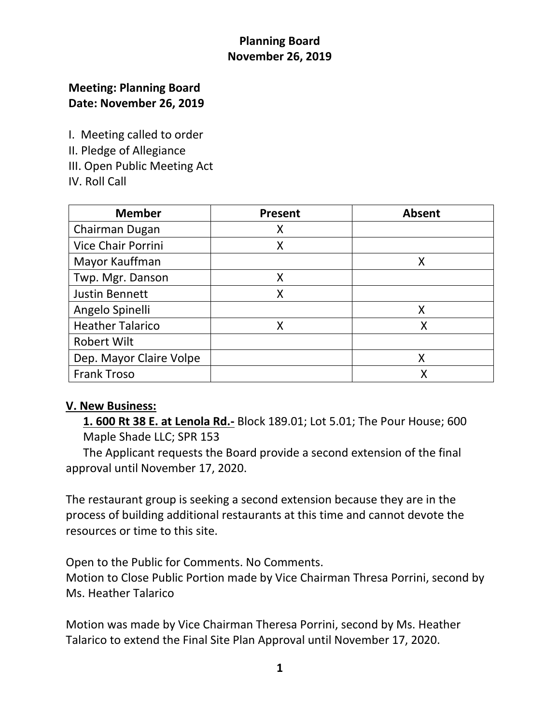# **Planning Board November 26, 2019**

## **Meeting: Planning Board Date: November 26, 2019**

I. Meeting called to order II. Pledge of Allegiance

- III. Open Public Meeting Act
- IV. Roll Call

| <b>Member</b>             | Present | <b>Absent</b> |
|---------------------------|---------|---------------|
| Chairman Dugan            | Χ       |               |
| <b>Vice Chair Porrini</b> | X       |               |
| Mayor Kauffman            |         | Χ             |
| Twp. Mgr. Danson          | X       |               |
| <b>Justin Bennett</b>     | X       |               |
| Angelo Spinelli           |         | X             |
| <b>Heather Talarico</b>   | X       | Χ             |
| <b>Robert Wilt</b>        |         |               |
| Dep. Mayor Claire Volpe   |         | X             |
| <b>Frank Troso</b>        |         |               |

#### **V. New Business:**

 **1. 600 Rt 38 E. at Lenola Rd.-** Block 189.01; Lot 5.01; The Pour House; 600 Maple Shade LLC; SPR 153

 The Applicant requests the Board provide a second extension of the final approval until November 17, 2020.

The restaurant group is seeking a second extension because they are in the process of building additional restaurants at this time and cannot devote the resources or time to this site.

Open to the Public for Comments. No Comments. Motion to Close Public Portion made by Vice Chairman Thresa Porrini, second by Ms. Heather Talarico

Motion was made by Vice Chairman Theresa Porrini, second by Ms. Heather Talarico to extend the Final Site Plan Approval until November 17, 2020.